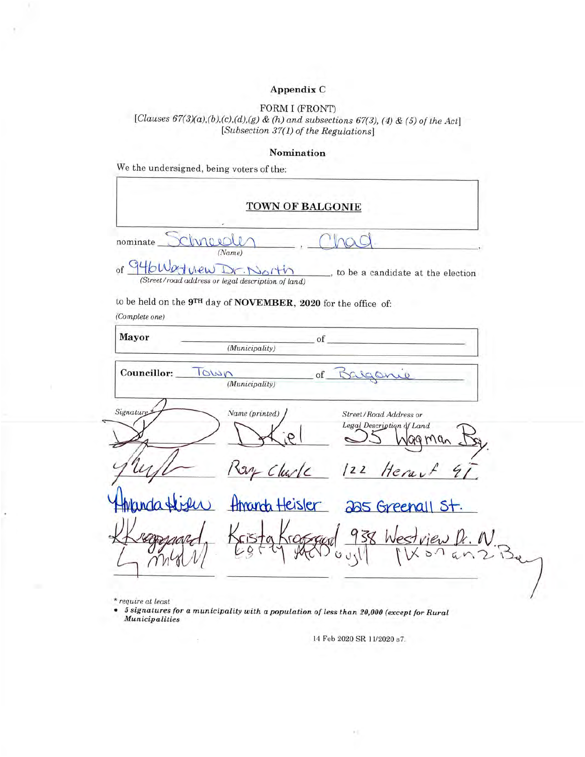### Appendix C

# FORM I (FRONT)

[Clauses  $67(3)(a),(b),(c),(d),(g)$  & (h) and subsections  $67(3)$ , (4) & (5) of the Act]<br>[Subsection 37(1) of the Regulations]

#### Nomination

We the undersigned, being voters of the:

| <b>TOWN OF BALGONIE</b>        |                                                                                                     |  |  |  |
|--------------------------------|-----------------------------------------------------------------------------------------------------|--|--|--|
| nominate                       |                                                                                                     |  |  |  |
| 946 W<br>view Dr.<br>$\circ$ f | (Name)<br>, to be a candidate at the election<br>(Street/road address or legal description of land) |  |  |  |
| (Complete one)                 | to be held on the 9TH day of NOVEMBER, 2020 for the office of:                                      |  |  |  |
| Mayor                          | of<br>(Municipality)                                                                                |  |  |  |
| Signature                      | Name (printed)<br>Street/Road Address or<br>Legal Description of Land                               |  |  |  |
|                                |                                                                                                     |  |  |  |
|                                | on Church<br>Herau<br>122                                                                           |  |  |  |
|                                | Amanda Heisler<br>225 Greenall St.                                                                  |  |  |  |
|                                | 938 Westview<br>Arassar<br>sta                                                                      |  |  |  |

\* require at least

 $\bullet$  5 signatures for a municipality with a population of less than 20,000 (except for Rural  $\label{def:unicipalities} {\sc Municipalities}$ 

14 Feb 2020 SR 11/2020 s7.

 $\sim$  1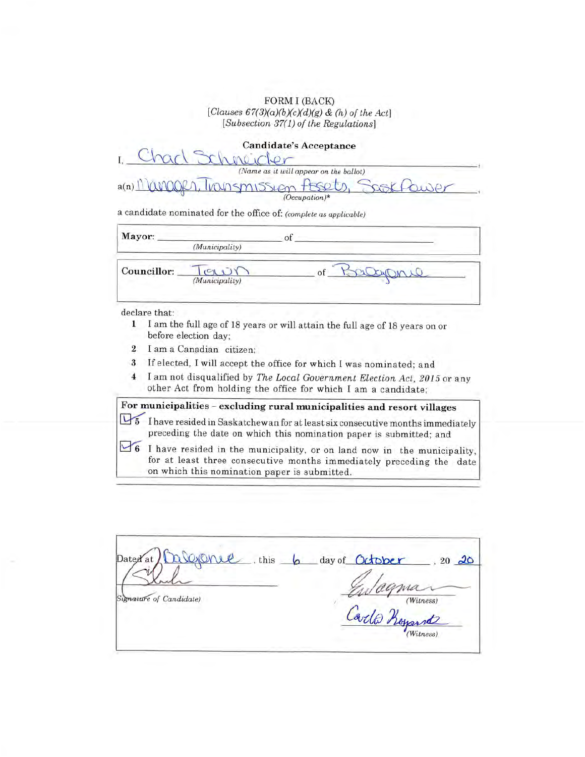FORM I (BACK) [Clauses  $67(3)(a)(b)(c)(d)(g)$  & (h) of the Act] [Subsection 37(1) of the Regulations]

| <b>Candidate's Acceptance</b>               |  |
|---------------------------------------------|--|
|                                             |  |
| (Name as it will appear on the ballot)      |  |
| Kingger, Transmission Assets, Sookf<br>a(n) |  |
| $(Occulation)*$                             |  |

a candidate nominated for the office of: (complete as applicable)

| (Municipality) |                |  |
|----------------|----------------|--|
|                | $Q_{\lambda}$  |  |
|                | (Municipality) |  |

declare that:

- 1 I am the full age of 18 years or will attain the full age of 18 years on or before election day:
- $\overline{2}$ I am a Canadian citizen:
- $\bf{3}$ If elected, I will accept the office for which I was nominated; and
- I am not disqualified by The Local Government Election Act, 2015 or any  $\overline{4}$ other Act from holding the office for which I am a candidate;

# For municipalities - excluding rural municipalities and resort villages

I have resided in Saskatchewan for at least six consecutive months immediately preceding the date on which this nomination paper is submitted; and

6 I have resided in the municipality, or on land now in the municipality, for at least three consecutive months immediately preceding the date on which this nomination paper is submitted.

| CULTURE<br>Dated at<br>, this | day of October<br>$20\frac{20}{ }$ |
|-------------------------------|------------------------------------|
| Signature of Candidate)       | wagma.<br>(Witness)                |
|                               | Carlo Keyant                       |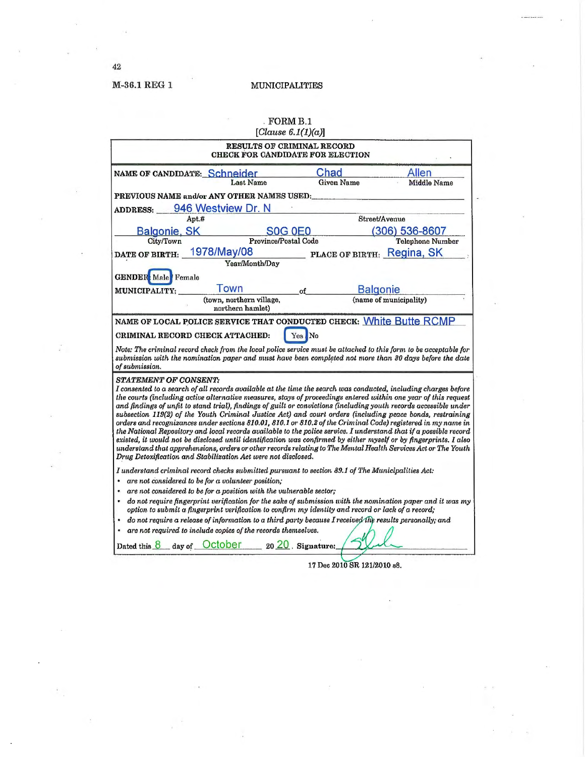**MUNICIPALITIES** 

|                                                                                                                                                                                                                                                                                                                                                                                                                                                                                                                                                                                                                                                                                                                                                                                                                                                                                                                                                                                                                                                    | $\sqrt{3}$ FORM B.1<br>[Clause $6.1(1)(a)$ ]                          |                            |                         |
|----------------------------------------------------------------------------------------------------------------------------------------------------------------------------------------------------------------------------------------------------------------------------------------------------------------------------------------------------------------------------------------------------------------------------------------------------------------------------------------------------------------------------------------------------------------------------------------------------------------------------------------------------------------------------------------------------------------------------------------------------------------------------------------------------------------------------------------------------------------------------------------------------------------------------------------------------------------------------------------------------------------------------------------------------|-----------------------------------------------------------------------|----------------------------|-------------------------|
|                                                                                                                                                                                                                                                                                                                                                                                                                                                                                                                                                                                                                                                                                                                                                                                                                                                                                                                                                                                                                                                    | <b>RESULTS OF CRIMINAL RECORD</b><br>CHECK FOR CANDIDATE FOR ELECTION |                            |                         |
| NAME OF CANDIDATE: Schneider                                                                                                                                                                                                                                                                                                                                                                                                                                                                                                                                                                                                                                                                                                                                                                                                                                                                                                                                                                                                                       | Last Name                                                             | Chad<br><b>Given Name</b>  | Allen<br>Middle Name    |
| PREVIOUS NAME and/or ANY OTHER NAMES USED:                                                                                                                                                                                                                                                                                                                                                                                                                                                                                                                                                                                                                                                                                                                                                                                                                                                                                                                                                                                                         |                                                                       |                            |                         |
| 946 Westview Dr. N<br><b>ADDRESS:</b>                                                                                                                                                                                                                                                                                                                                                                                                                                                                                                                                                                                                                                                                                                                                                                                                                                                                                                                                                                                                              |                                                                       |                            |                         |
| Apt.#                                                                                                                                                                                                                                                                                                                                                                                                                                                                                                                                                                                                                                                                                                                                                                                                                                                                                                                                                                                                                                              |                                                                       |                            | Street/Avenue           |
| <b>Balgonie, SK</b>                                                                                                                                                                                                                                                                                                                                                                                                                                                                                                                                                                                                                                                                                                                                                                                                                                                                                                                                                                                                                                | <b>SOG 0E0</b>                                                        |                            | (306) 536-8607          |
| City/Town                                                                                                                                                                                                                                                                                                                                                                                                                                                                                                                                                                                                                                                                                                                                                                                                                                                                                                                                                                                                                                          | <b>Province/Postal Code</b>                                           |                            | <b>Telephone Number</b> |
| 1978/May/08<br>DATE OF BIRTH:                                                                                                                                                                                                                                                                                                                                                                                                                                                                                                                                                                                                                                                                                                                                                                                                                                                                                                                                                                                                                      | Year/Month/Day                                                        | PLACE OF BIRTH: Regina, SK |                         |
|                                                                                                                                                                                                                                                                                                                                                                                                                                                                                                                                                                                                                                                                                                                                                                                                                                                                                                                                                                                                                                                    |                                                                       |                            |                         |
| <b>GENDER:</b> Male Female                                                                                                                                                                                                                                                                                                                                                                                                                                                                                                                                                                                                                                                                                                                                                                                                                                                                                                                                                                                                                         |                                                                       |                            |                         |
| Town<br><b>MUNICIPALITY:</b>                                                                                                                                                                                                                                                                                                                                                                                                                                                                                                                                                                                                                                                                                                                                                                                                                                                                                                                                                                                                                       | of                                                                    | <b>Balgonie</b>            |                         |
| (town, northern village,<br>northern hamlet)                                                                                                                                                                                                                                                                                                                                                                                                                                                                                                                                                                                                                                                                                                                                                                                                                                                                                                                                                                                                       |                                                                       |                            | (name of municipality)  |
| CRIMINAL RECORD CHECK ATTACHED:<br>Note: The criminal record check from the local police service must be attached to this form to be acceptable for<br>submission with the nomination paper and must have been completed not more than 30 days before the date<br>of submission.                                                                                                                                                                                                                                                                                                                                                                                                                                                                                                                                                                                                                                                                                                                                                                   |                                                                       |                            |                         |
| <b>STATEMENT OF CONSENT:</b><br>I consented to a search of all records available at the time the search was conducted, including charges before<br>the courts (including active alternative measures, stays of proceedings entered within one year of this request<br>and findings of unfit to stand trial), findings of guilt or convictions (including youth records accessible under<br>subsection 119(2) of the Youth Criminal Justice Act) and court orders (including peace bonds, restraining<br>orders and recognizances under sections 810.01, 810.1 or 810.2 of the Criminal Code) registered in my name in<br>the National Repository and local records available to the police service. I understand that if a possible record<br>existed, it would not be disclosed until identification was confirmed by either myself or by fingerprints. I also<br>understand that apprehensions, orders or other records relating to The Mental Health Services Act or The Youth<br>Drug Detoxification and Stabilization Act were not disclosed. |                                                                       |                            |                         |
| I understand criminal record checks submitted pursuant to section 89.1 of The Municipalities Act:<br>are not considered to be for a volunteer position;<br>$\bullet$<br>are not considered to be for a position with the vulnerable sector;<br>$\bullet$<br>do not require fingerprint verification for the sake of submission with the nomination paper and it was my<br>option to submit a fingerprint verification to confirm my identity and record or lack of a record;<br>do not require a release of information to a third party because I received the results personally; and<br>٠<br>are not required to include copies of the records themselves.<br>Dated this $8$ day of $October 2020$ . Signature:                                                                                                                                                                                                                                                                                                                                 |                                                                       |                            |                         |

17 Dec 2010 SR 121/2010 s8.

 $42\,$ 

ž

M-36.1 REG 1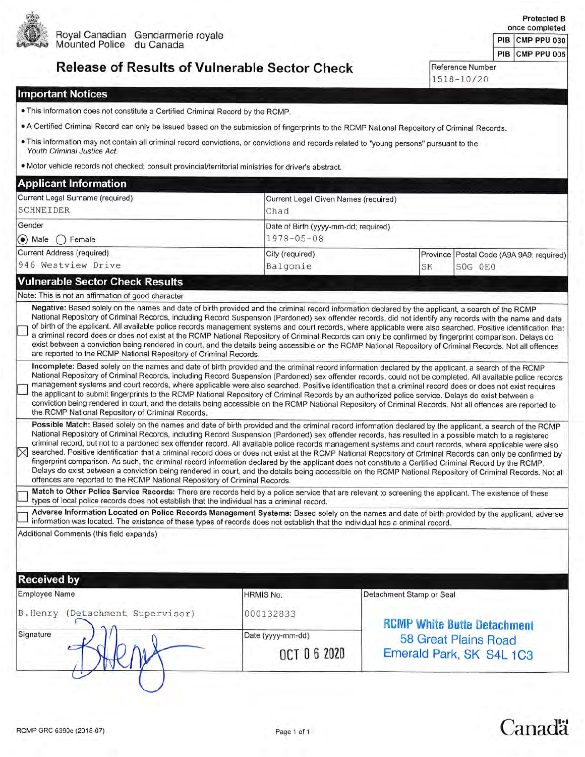

Royal Canadian Gendarmerie royale<br>Mounted Police du Canada

|  |  | <b>Release of Results of Vulnerable Sector Check</b> |  |
|--|--|------------------------------------------------------|--|
|  |  |                                                      |  |

PIB CMP PPU 005 Reference Number 1518-10/20

Protected B once completed

PIB CMP PPU 030

#### **Important Notices**

- . This information does not constitute a Certified Criminal Record by the RCMP.
- . A Certified Criminal Record can only be issued based on the submission of fingerprints to the RCMP National Repository of Criminal Records.
- . This information may not contain all criminal record convictions, or convictions and records related to "young persons" pursuant to the Youth Criminal Justice Act.
- · Motor vehicle records not checked; consult provincial/territorial ministries for driver's abstract.

| Current Legal Given Names (required)<br>Chad<br>Date of Birth (yyyy-mm-dd; required)<br>$1978 - 05 - 08$<br>City (required)<br>Balgonie<br>Negative: Based solely on the names and date of birth provided and the criminal record information declared by the applicant, a search of the RCMP<br>are reported to the RCMP National Repository of Criminal Records. | SK                                                                                                                                                                                                                       | Province Postal Code (A9A 9A9; required)<br>SOG OEO<br>National Repository of Criminal Records, including Record Suspension (Pardoned) sex offender records, did not identify any records with the name and date<br>of birth of the applicant. All available police records management systems and court records, where applicable were also searched. Positive identification that<br>a criminal record does or does not exist at the RCMP National Repository of Criminal Records can only be confirmed by fingerprint comparison. Delays do<br>exist between a conviction being rendered in court, and the details being accessible on the RCMP National Repository of Criminal Records. Not all offences                                                                                                                                                                                                                                                                                                                                                                                                                                                                                                                                                                                                                                                                                                                                                                                                                                                                                                                                                                                                                                                                                                                                                                                                                                                                                                                                                                                                                                |
|--------------------------------------------------------------------------------------------------------------------------------------------------------------------------------------------------------------------------------------------------------------------------------------------------------------------------------------------------------------------|--------------------------------------------------------------------------------------------------------------------------------------------------------------------------------------------------------------------------|---------------------------------------------------------------------------------------------------------------------------------------------------------------------------------------------------------------------------------------------------------------------------------------------------------------------------------------------------------------------------------------------------------------------------------------------------------------------------------------------------------------------------------------------------------------------------------------------------------------------------------------------------------------------------------------------------------------------------------------------------------------------------------------------------------------------------------------------------------------------------------------------------------------------------------------------------------------------------------------------------------------------------------------------------------------------------------------------------------------------------------------------------------------------------------------------------------------------------------------------------------------------------------------------------------------------------------------------------------------------------------------------------------------------------------------------------------------------------------------------------------------------------------------------------------------------------------------------------------------------------------------------------------------------------------------------------------------------------------------------------------------------------------------------------------------------------------------------------------------------------------------------------------------------------------------------------------------------------------------------------------------------------------------------------------------------------------------------------------------------------------------------|
|                                                                                                                                                                                                                                                                                                                                                                    |                                                                                                                                                                                                                          |                                                                                                                                                                                                                                                                                                                                                                                                                                                                                                                                                                                                                                                                                                                                                                                                                                                                                                                                                                                                                                                                                                                                                                                                                                                                                                                                                                                                                                                                                                                                                                                                                                                                                                                                                                                                                                                                                                                                                                                                                                                                                                                                             |
|                                                                                                                                                                                                                                                                                                                                                                    |                                                                                                                                                                                                                          |                                                                                                                                                                                                                                                                                                                                                                                                                                                                                                                                                                                                                                                                                                                                                                                                                                                                                                                                                                                                                                                                                                                                                                                                                                                                                                                                                                                                                                                                                                                                                                                                                                                                                                                                                                                                                                                                                                                                                                                                                                                                                                                                             |
|                                                                                                                                                                                                                                                                                                                                                                    |                                                                                                                                                                                                                          |                                                                                                                                                                                                                                                                                                                                                                                                                                                                                                                                                                                                                                                                                                                                                                                                                                                                                                                                                                                                                                                                                                                                                                                                                                                                                                                                                                                                                                                                                                                                                                                                                                                                                                                                                                                                                                                                                                                                                                                                                                                                                                                                             |
|                                                                                                                                                                                                                                                                                                                                                                    |                                                                                                                                                                                                                          |                                                                                                                                                                                                                                                                                                                                                                                                                                                                                                                                                                                                                                                                                                                                                                                                                                                                                                                                                                                                                                                                                                                                                                                                                                                                                                                                                                                                                                                                                                                                                                                                                                                                                                                                                                                                                                                                                                                                                                                                                                                                                                                                             |
|                                                                                                                                                                                                                                                                                                                                                                    |                                                                                                                                                                                                                          |                                                                                                                                                                                                                                                                                                                                                                                                                                                                                                                                                                                                                                                                                                                                                                                                                                                                                                                                                                                                                                                                                                                                                                                                                                                                                                                                                                                                                                                                                                                                                                                                                                                                                                                                                                                                                                                                                                                                                                                                                                                                                                                                             |
|                                                                                                                                                                                                                                                                                                                                                                    |                                                                                                                                                                                                                          |                                                                                                                                                                                                                                                                                                                                                                                                                                                                                                                                                                                                                                                                                                                                                                                                                                                                                                                                                                                                                                                                                                                                                                                                                                                                                                                                                                                                                                                                                                                                                                                                                                                                                                                                                                                                                                                                                                                                                                                                                                                                                                                                             |
|                                                                                                                                                                                                                                                                                                                                                                    |                                                                                                                                                                                                                          |                                                                                                                                                                                                                                                                                                                                                                                                                                                                                                                                                                                                                                                                                                                                                                                                                                                                                                                                                                                                                                                                                                                                                                                                                                                                                                                                                                                                                                                                                                                                                                                                                                                                                                                                                                                                                                                                                                                                                                                                                                                                                                                                             |
|                                                                                                                                                                                                                                                                                                                                                                    |                                                                                                                                                                                                                          | Incomplete: Based solely on the names and date of birth provided and the criminal record information declared by the applicant, a search of the RCMP                                                                                                                                                                                                                                                                                                                                                                                                                                                                                                                                                                                                                                                                                                                                                                                                                                                                                                                                                                                                                                                                                                                                                                                                                                                                                                                                                                                                                                                                                                                                                                                                                                                                                                                                                                                                                                                                                                                                                                                        |
|                                                                                                                                                                                                                                                                                                                                                                    |                                                                                                                                                                                                                          |                                                                                                                                                                                                                                                                                                                                                                                                                                                                                                                                                                                                                                                                                                                                                                                                                                                                                                                                                                                                                                                                                                                                                                                                                                                                                                                                                                                                                                                                                                                                                                                                                                                                                                                                                                                                                                                                                                                                                                                                                                                                                                                                             |
|                                                                                                                                                                                                                                                                                                                                                                    |                                                                                                                                                                                                                          |                                                                                                                                                                                                                                                                                                                                                                                                                                                                                                                                                                                                                                                                                                                                                                                                                                                                                                                                                                                                                                                                                                                                                                                                                                                                                                                                                                                                                                                                                                                                                                                                                                                                                                                                                                                                                                                                                                                                                                                                                                                                                                                                             |
|                                                                                                                                                                                                                                                                                                                                                                    |                                                                                                                                                                                                                          |                                                                                                                                                                                                                                                                                                                                                                                                                                                                                                                                                                                                                                                                                                                                                                                                                                                                                                                                                                                                                                                                                                                                                                                                                                                                                                                                                                                                                                                                                                                                                                                                                                                                                                                                                                                                                                                                                                                                                                                                                                                                                                                                             |
|                                                                                                                                                                                                                                                                                                                                                                    |                                                                                                                                                                                                                          |                                                                                                                                                                                                                                                                                                                                                                                                                                                                                                                                                                                                                                                                                                                                                                                                                                                                                                                                                                                                                                                                                                                                                                                                                                                                                                                                                                                                                                                                                                                                                                                                                                                                                                                                                                                                                                                                                                                                                                                                                                                                                                                                             |
|                                                                                                                                                                                                                                                                                                                                                                    |                                                                                                                                                                                                                          |                                                                                                                                                                                                                                                                                                                                                                                                                                                                                                                                                                                                                                                                                                                                                                                                                                                                                                                                                                                                                                                                                                                                                                                                                                                                                                                                                                                                                                                                                                                                                                                                                                                                                                                                                                                                                                                                                                                                                                                                                                                                                                                                             |
|                                                                                                                                                                                                                                                                                                                                                                    |                                                                                                                                                                                                                          |                                                                                                                                                                                                                                                                                                                                                                                                                                                                                                                                                                                                                                                                                                                                                                                                                                                                                                                                                                                                                                                                                                                                                                                                                                                                                                                                                                                                                                                                                                                                                                                                                                                                                                                                                                                                                                                                                                                                                                                                                                                                                                                                             |
| <b>OCT 06 2020</b>                                                                                                                                                                                                                                                                                                                                                 |                                                                                                                                                                                                                          | 58 Great Plains Road<br>Emerald Park, SK S4L 1C3                                                                                                                                                                                                                                                                                                                                                                                                                                                                                                                                                                                                                                                                                                                                                                                                                                                                                                                                                                                                                                                                                                                                                                                                                                                                                                                                                                                                                                                                                                                                                                                                                                                                                                                                                                                                                                                                                                                                                                                                                                                                                            |
|                                                                                                                                                                                                                                                                                                                                                                    | offences are reported to the RCMP National Repository of Criminal Records.<br>types of local police records does not establish that the individual has a criminal record.<br>HRMIS No.<br>000132833<br>Date (yyyy-mm-dd) | National Repository of Criminal Records, including Record Suspension (Pardoned) sex offender records, could not be completed. All available police records<br>management systems and court records, where applicable were also searched. Positive identification that a criminal record does or does not exist requires<br>the applicant to submit fingerprints to the RCMP National Repository of Criminal Records by an authorized police service. Delays do exist between a<br>conviction being rendered in court, and the details being accessible on the RCMP National Repository of Criminal Records. Not all offences are reported to<br>Possible Match: Based solely on the names and date of birth provided and the criminal record information declared by the applicant, a search of the RCMP<br>National Repository of Criminal Records, including Record Suspension (Pardoned) sex offender records, has resulted in a possible match to a registered<br>criminal record, but not to a pardoned sex offender record. All available police records management systems and court records, where applicable were also<br>searched. Positive identification that a criminal record does or does not exist at the RCMP National Repository of Criminal Records can only be confirmed by<br>fingerprint comparison. As such, the criminal record information declared by the applicant does not constitute a Certified Criminal Record by the RCMP.<br>Delays do exist between a conviction being rendered in court, and the details being accessible on the RCMP National Repository of Criminal Records. Not all<br>Match to Other Police Service Records: There are records held by a police service that are relevant to screening the applicant. The existence of these<br>Adverse Information Located on Police Records Management Systems: Based solely on the names and date of birth provided by the applicant, adverse<br>information was located. The existence of these types of records does not establish that the individual has a criminal record.<br>Detachment Stamp or Seal<br><b>RCMP White Butte Detachment</b> |

# Canadä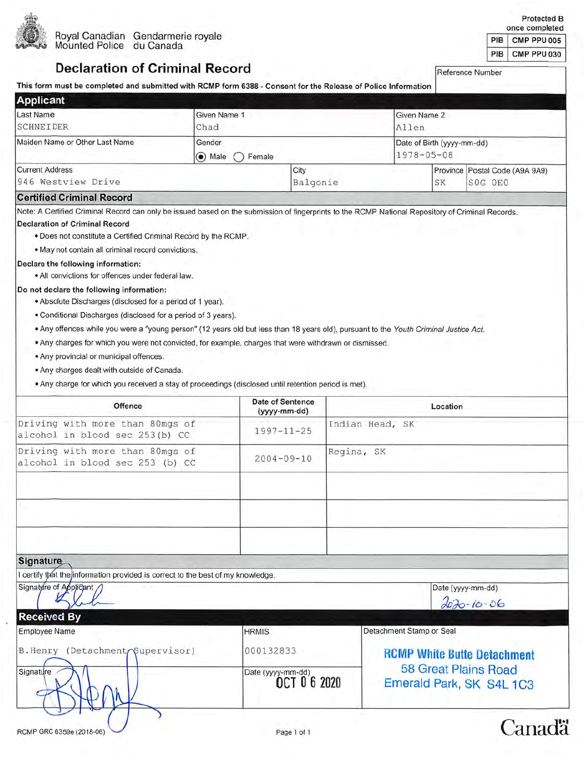

Protected B<br>once completed

| once completed |                   |  |
|----------------|-------------------|--|
|                | PIB   CMP PPU 005 |  |
|                | PIB CMP PPU 030   |  |

# **Declaration of Criminal Record**

Reference Number

| This form must be completed and submitted with RCMP form 6388 - Consent for the Release of Police Information                                                                                                                                                                                                                                                                                                                                                                                                                                                                                                                                                                                                                                                                                                                                                                            |                                            |                                         |            |                                                  |                                |                                       |
|------------------------------------------------------------------------------------------------------------------------------------------------------------------------------------------------------------------------------------------------------------------------------------------------------------------------------------------------------------------------------------------------------------------------------------------------------------------------------------------------------------------------------------------------------------------------------------------------------------------------------------------------------------------------------------------------------------------------------------------------------------------------------------------------------------------------------------------------------------------------------------------|--------------------------------------------|-----------------------------------------|------------|--------------------------------------------------|--------------------------------|---------------------------------------|
| <b>Applicant</b>                                                                                                                                                                                                                                                                                                                                                                                                                                                                                                                                                                                                                                                                                                                                                                                                                                                                         |                                            |                                         |            |                                                  |                                |                                       |
| Last Name                                                                                                                                                                                                                                                                                                                                                                                                                                                                                                                                                                                                                                                                                                                                                                                                                                                                                | Given Name 1<br>Given Name 2               |                                         |            |                                                  |                                |                                       |
| <b>SCHNEIDER</b>                                                                                                                                                                                                                                                                                                                                                                                                                                                                                                                                                                                                                                                                                                                                                                                                                                                                         | Chad<br>Allen                              |                                         |            |                                                  |                                |                                       |
| Maiden Name or Other Last Name                                                                                                                                                                                                                                                                                                                                                                                                                                                                                                                                                                                                                                                                                                                                                                                                                                                           | Gender<br>Date of Birth (yyyy-mm-dd)       |                                         |            |                                                  |                                |                                       |
|                                                                                                                                                                                                                                                                                                                                                                                                                                                                                                                                                                                                                                                                                                                                                                                                                                                                                          | $1978 - 05 - 08$<br>$\odot$ Male<br>Female |                                         |            |                                                  |                                |                                       |
| <b>Current Address</b>                                                                                                                                                                                                                                                                                                                                                                                                                                                                                                                                                                                                                                                                                                                                                                                                                                                                   |                                            | City                                    |            |                                                  | Province Postal Code (A9A 9A9) |                                       |
| 946 Westview Drive                                                                                                                                                                                                                                                                                                                                                                                                                                                                                                                                                                                                                                                                                                                                                                                                                                                                       |                                            | Balgonie                                |            |                                                  | SK                             | SOG OEO                               |
| <b>Certified Criminal Record</b>                                                                                                                                                                                                                                                                                                                                                                                                                                                                                                                                                                                                                                                                                                                                                                                                                                                         |                                            |                                         |            |                                                  |                                |                                       |
| <b>Declaration of Criminal Record</b><br>. Does not constitute a Certified Criminal Record by the RCMP.<br>. May not contain all criminal record convictions.<br>Declare the following information:<br>• All convictions for offences under federal law.<br>Do not declare the following information:<br>. Absolute Discharges (disclosed for a period of 1 year).<br>. Conditional Discharges (disclosed for a period of 3 years).<br>. Any offences while you were a "young person" (12 years old but less than 18 years old), pursuant to the Youth Criminal Justice Act.<br>. Any charges for which you were not convicted, for example, charges that were withdrawn or dismissed.<br>. Any provincial or municipal offences.<br>. Any charges dealt with outside of Canada.<br>. Any charge for which you received a stay of proceedings (disclosed until retention period is met). |                                            |                                         |            |                                                  |                                |                                       |
| Offence                                                                                                                                                                                                                                                                                                                                                                                                                                                                                                                                                                                                                                                                                                                                                                                                                                                                                  |                                            | Date of Sentence<br>(yyyy-mm-dd)        |            |                                                  | Location                       |                                       |
| Driving with more than 80mgs of<br>alcohol in blood sec 253(b) CC                                                                                                                                                                                                                                                                                                                                                                                                                                                                                                                                                                                                                                                                                                                                                                                                                        |                                            | $1997 - 11 - 25$                        |            | Indian Head, SK                                  |                                |                                       |
| Driving with more than 80mgs of<br>alcohol in blood sec 253 (b) CC                                                                                                                                                                                                                                                                                                                                                                                                                                                                                                                                                                                                                                                                                                                                                                                                                       |                                            | $2004 - 09 - 10$                        | Regina, SK |                                                  |                                |                                       |
|                                                                                                                                                                                                                                                                                                                                                                                                                                                                                                                                                                                                                                                                                                                                                                                                                                                                                          |                                            |                                         |            |                                                  |                                |                                       |
| Signature                                                                                                                                                                                                                                                                                                                                                                                                                                                                                                                                                                                                                                                                                                                                                                                                                                                                                |                                            |                                         |            |                                                  |                                |                                       |
| certify that the information provided is correct to the best of my knowledge.                                                                                                                                                                                                                                                                                                                                                                                                                                                                                                                                                                                                                                                                                                                                                                                                            |                                            |                                         |            |                                                  |                                |                                       |
| Signature of Applicant                                                                                                                                                                                                                                                                                                                                                                                                                                                                                                                                                                                                                                                                                                                                                                                                                                                                   |                                            |                                         |            |                                                  |                                | Date (yyyy-mm-dd)<br>$2020 - 10 - 06$ |
| <b>Received By</b>                                                                                                                                                                                                                                                                                                                                                                                                                                                                                                                                                                                                                                                                                                                                                                                                                                                                       |                                            |                                         |            |                                                  |                                |                                       |
| <b>Employee Name</b>                                                                                                                                                                                                                                                                                                                                                                                                                                                                                                                                                                                                                                                                                                                                                                                                                                                                     |                                            | <b>HRMIS</b>                            |            | Detachment Stamp or Seal                         |                                |                                       |
| B. Henry (DetachmentoSupervisor)                                                                                                                                                                                                                                                                                                                                                                                                                                                                                                                                                                                                                                                                                                                                                                                                                                                         |                                            | 000132833                               |            |                                                  |                                | <b>RCMP White Butte Detachment</b>    |
| Signature                                                                                                                                                                                                                                                                                                                                                                                                                                                                                                                                                                                                                                                                                                                                                                                                                                                                                |                                            | Date (yyyy-mm-dd)<br><b>OCT 06 2020</b> |            | 58 Great Plains Road<br>Emerald Park, SK S4L 1C3 |                                |                                       |

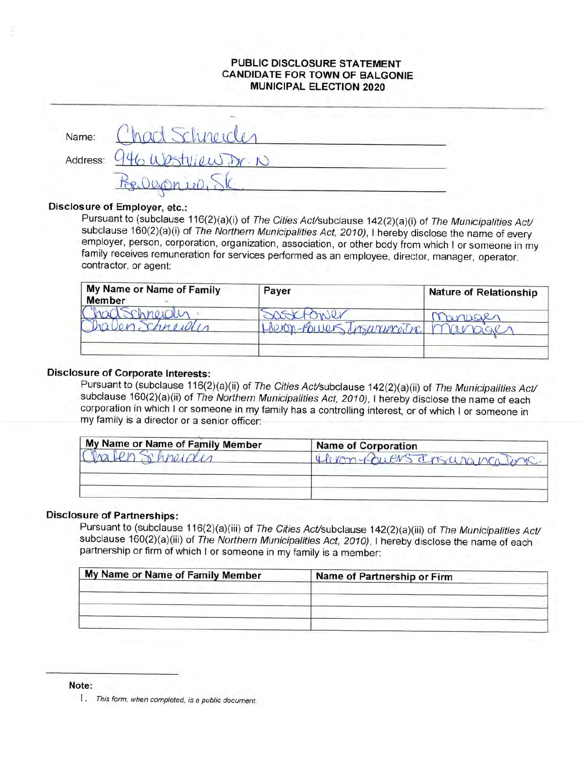# PUBLIC DISCLOSURE STATEMENT **CANDIDATE FOR TOWN OF BALGONIE MUNICIPAL ELECTION 2020**

| Name: | had Schneider               |
|-------|-----------------------------|
|       | Address: 946 Wastview Dr. N |
|       |                             |

# Disclosure of Employer, etc.:

Pursuant to (subclause 116(2)(a)(i) of The Cities Act/subclause 142(2)(a)(i) of The Municipalities Act/ subclause 160(2)(a)(i) of The Northern Municipalities Act, 2010), I hereby disclose the name of every employer, person, corporation, organization, association, or other body from which I or someone in my family receives remuneration for services performed as an employee, director, manager, operator, contractor, or agent:

| My Name or Name of Family<br><b>Member</b> | Paver                               | <b>Nature of Relationship</b> |
|--------------------------------------------|-------------------------------------|-------------------------------|
| 1 Chnowll<br>chreiden                      | OWer<br>Heron-Powers Insurance Tre. | nanager                       |
|                                            |                                     |                               |

# **Disclosure of Corporate Interests:**

Pursuant to (subclause 116(2)(a)(ii) of The Cities Act/subclause 142(2)(a)(ii) of The Municipalities Act/ subclause 160(2)(a)(ii) of The Northern Municipalities Act, 2010). I hereby disclose the name of each corporation in which I or someone in my family has a controlling interest, or of which I or someone in my family is a director or a senior officer:

| My Name or Name of Family Member | <b>Name of Corporation</b> |
|----------------------------------|----------------------------|
|                                  | Him-Ruens Insuranca Pome   |
|                                  |                            |
|                                  |                            |
|                                  |                            |

### **Disclosure of Partnerships:**

Pursuant to (subclause 116(2)(a)(iii) of The Cities Act/subclause 142(2)(a)(iii) of The Municipalities Act/ subclause 160(2)(a)(iii) of The Northern Municipalities Act, 2010), I hereby disclose the name of each partnership or firm of which I or someone in my family is a member:

| My Name or Name of Family Member | Name of Partnership or Firm |
|----------------------------------|-----------------------------|
|                                  |                             |
|                                  |                             |
|                                  |                             |

Note:

1. This form, when completed, is a public document.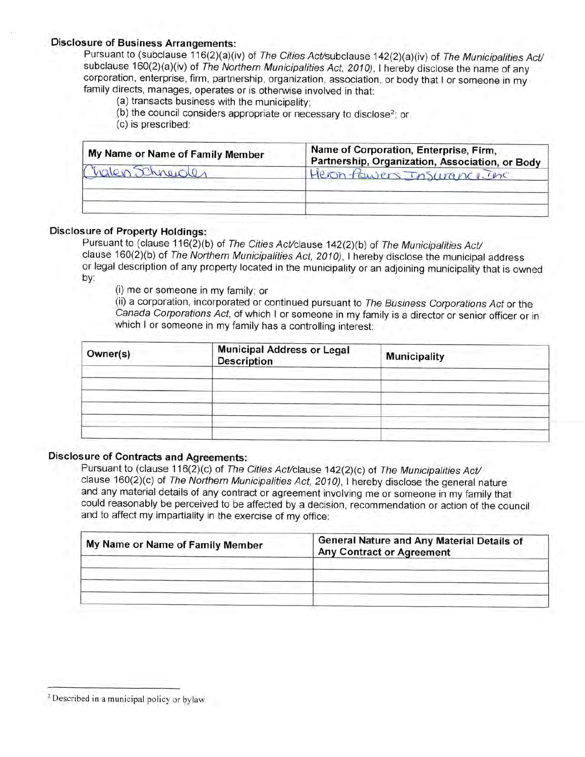# **Disclosure of Business Arrangements:**

Pursuant to (subclause 116(2)(a)(iv) of The Cities Act/subclause 142(2)(a)(iv) of The Municipalities Act/ subclause 160(2)(a)(iv) of The Northern Municipalities Act, 2010). I hereby disclose the name of any corporation, enterprise, firm, partnership, organization, association, or body that I or someone in my family directs, manages, operates or is otherwise involved in that:

- (a) transacts business with the municipality;
- (b) the council considers appropriate or necessary to disclose<sup>2</sup>; or
- (c) is prescribed:

| My Name or Name of Family Member | Name of Corporation, Enterprise, Firm,<br>Partnership, Organization, Association, or Body |
|----------------------------------|-------------------------------------------------------------------------------------------|
| Chalen Schneider                 | Heron-Powers Insurance Inc                                                                |
|                                  |                                                                                           |

### **Disclosure of Property Holdings:**

Pursuant to (clause 116(2)(b) of The Cities Act/clause 142(2)(b) of The Municipalities Act/ clause 160(2)(b) of The Northern Municipalities Act, 2010), I hereby disclose the municipal address or legal description of any property located in the municipality or an adjoining municipality that is owned by:

(i) me or someone in my family; or

(ii) a corporation, incorporated or continued pursuant to The Business Corporations Act or the Canada Corporations Act, of which I or someone in my family is a director or senior officer or in which I or someone in my family has a controlling interest:

| Owner(s) | Municipal Address or Legal<br>Description | <b>Municipality</b> |
|----------|-------------------------------------------|---------------------|
|          |                                           |                     |
|          |                                           |                     |
|          |                                           |                     |

# **Disclosure of Contracts and Agreements:**

Pursuant to (clause 116(2)(c) of The Cities Act/clause 142(2)(c) of The Municipalities Act/ clause 160(2)(c) of The Northern Municipalities Act, 2010), I hereby disclose the general nature and any material details of any contract or agreement involving me or someone in my family that could reasonably be perceived to be affected by a decision, recommendation or action of the council and to affect my impartiality in the exercise of my office:

| My Name or Name of Family Member | General Nature and Any Material Details of<br><b>Any Contract or Agreement</b> |
|----------------------------------|--------------------------------------------------------------------------------|
|                                  |                                                                                |
|                                  |                                                                                |

<sup>&</sup>lt;sup>2</sup> Described in a municipal policy or bylaw.